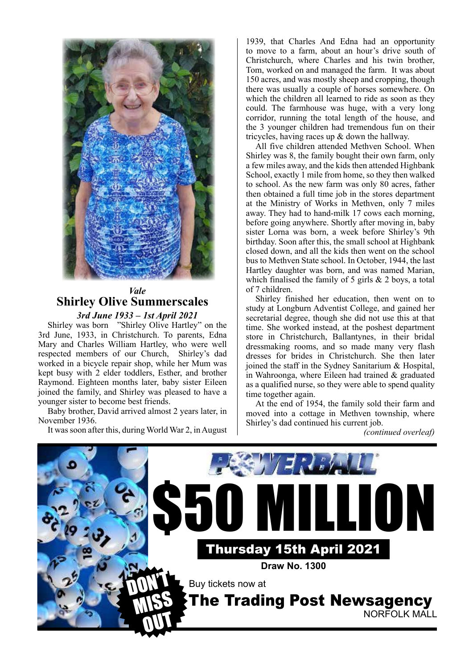

## *Vale* **Shirley Olive Summerscales**

*3rd June 1933 – 1st April 2021*

Shirley was born "Shirley Olive Hartley" on the 3rd June, 1933, in Christchurch. To parents, Edna Mary and Charles William Hartley, who were well respected members of our Church, Shirley's dad worked in a bicycle repair shop, while her Mum was kept busy with 2 elder toddlers, Esther, and brother Raymond. Eighteen months later, baby sister Eileen joined the family, and Shirley was pleased to have a younger sister to become best friends.

Baby brother, David arrived almost 2 years later, in November 1936.

It was soon after this, during World War 2, in August

1939, that Charles And Edna had an opportunity to move to a farm, about an hour's drive south of Christchurch, where Charles and his twin brother, Tom, worked on and managed the farm. It was about 150 acres, and was mostly sheep and cropping, though there was usually a couple of horses somewhere. On which the children all learned to ride as soon as they could. The farmhouse was huge, with a very long corridor, running the total length of the house, and the 3 younger children had tremendous fun on their tricycles, having races up & down the hallway.

All five children attended Methven School. When Shirley was 8, the family bought their own farm, only a few miles away, and the kids then attended Highbank School, exactly 1 mile from home, so they then walked to school. As the new farm was only 80 acres, father then obtained a full time job in the stores department at the Ministry of Works in Methven, only 7 miles away. They had to hand-milk 17 cows each morning, before going anywhere. Shortly after moving in, baby sister Lorna was born, a week before Shirley's 9th birthday. Soon after this, the small school at Highbank closed down, and all the kids then went on the school bus to Methven State school. In October, 1944, the last Hartley daughter was born, and was named Marian, which finalised the family of 5 girls  $& 2$  boys, a total of 7 children.

Shirley finished her education, then went on to study at Longburn Adventist College, and gained her secretarial degree, though she did not use this at that time. She worked instead, at the poshest department store in Christchurch, Ballantynes, in their bridal dressmaking rooms, and so made many very flash dresses for brides in Christchurch. She then later joined the staff in the Sydney Sanitarium & Hospital, in Wahroonga, where Eileen had trained & graduated as a qualified nurse, so they were able to spend quality time together again.

At the end of 1954, the family sold their farm and moved into a cottage in Methven township, where Shirley's dad continued his current job.

*(continued overleaf)*

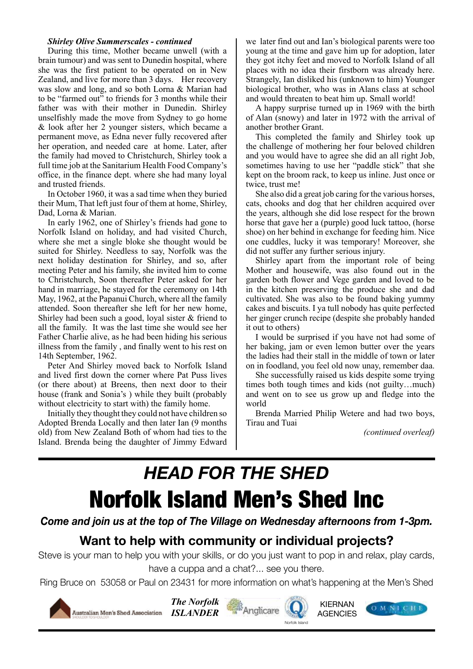### *Shirley Olive Summerscales - continued*

During this time, Mother became unwell (with a During this time, Mother became unwell (with a brain tumour) and was sent to Dunedin hospital, where she was the first patient to be operated on in New Zealand, and live for more than 3 days. Her recovery was slow and long, and so both Lorna & Marian had to be "farmed out" to friends for 3 months while their father was with their mother in Dunedin. Shirley unselfishly made the move from Sydney to go home & look after her 2 younger sisters, which became a permanent move, as Edna never fully recovered after her operation, and needed care at home. Later, after the family had moved to Christchurch, Shirley took a full time job at the Sanitarium Health Food Company's office, in the finance dept. where she had many loyal and trusted friends.

In October 1960, it was a sad time when they buried their Mum, That left just four of them at home, Shirley, Dad, Lorna & Marian.

In early 1962, one of Shirley's friends had gone to Norfolk Island on holiday, and had visited Church, where she met a single bloke she thought would be suited for Shirley. Needless to say, Norfolk was the next holiday destination for Shirley, and so, after meeting Peter and his family, she invited him to come to Christchurch, Soon thereafter Peter asked for her hand in marriage, he stayed for the ceremony on 14th May, 1962, at the Papanui Church, where all the family attended. Soon thereafter she left for her new home, Shirley had been such a good, loyal sister & friend to all the family. It was the last time she would see her Father Charlie alive, as he had been hiding his serious illness from the family , and finally went to his rest on 14th September, 1962.

Peter And Shirley moved back to Norfolk Island and lived first down the corner where Pat Puss lives (or there about) at Breens, then next door to their house (frank and Sonia's ) while they built (probably without electricity to start with) the family home.

Initially they thought they could not have children so Adopted Brenda Locally and then later Ian (9 months old) from New Zealand Both of whom had ties to the Island. Brenda being the daughter of Jimmy Edward we later find out and Ian's biological parents were too young at the time and gave him up for adoption, later they got itchy feet and moved to Norfolk Island of all places with no idea their firstborn was already here. Strangely, Ian disliked his (unknown to him) Younger biological brother, who was in Alans class at school and would threaten to beat him up. Small world!

A happy surprise turned up in 1969 with the birth of Alan (snowy) and later in 1972 with the arrival of another brother Grant.

This completed the family and Shirley took up the challenge of mothering her four beloved children and you would have to agree she did an all right Job, sometimes having to use her "paddle stick" that she kept on the broom rack, to keep us inline. Just once or twice, trust me!

She also did a great job caring for the various horses, cats, chooks and dog that her children acquired over the years, although she did lose respect for the brown horse that gave her a (purple) good luck tattoo, (horse shoe) on her behind in exchange for feeding him. Nice one cuddles, lucky it was temporary! Moreover, she did not suffer any further serious injury.

Shirley apart from the important role of being Mother and housewife, was also found out in the garden both flower and Vege garden and loved to be in the kitchen preserving the produce she and dad cultivated. She was also to be found baking yummy cakes and biscuits. I ya tull nobody has quite perfected her ginger crunch recipe (despite she probably handed it out to others)

I would be surprised if you have not had some of her baking, jam or even lemon butter over the years the ladies had their stall in the middle of town or later on in foodland, you feel old now unay, remember daa.

She successfully raised us kids despite some trying times both tough times and kids (not guilty…much) and went on to see us grow up and fledge into the world

Brenda Married Philip Wetere and had two boys, Tirau and Tuai

*(continued overleaf)*

# *HEAD FOR THE SHED* Norfolk Island Men's Shed Inc

*Come and join us at the top of The Village on Wednesday afternoons from 1-3pm.*

# **Want to help with community or individual projects?**

Steve is your man to help you with your skills, or do you just want to pop in and relax, play cards, have a cuppa and a chat?... see you there.

Ring Bruce on 53058 or Paul on 23431 for more information on what's happening at the Men's Shed